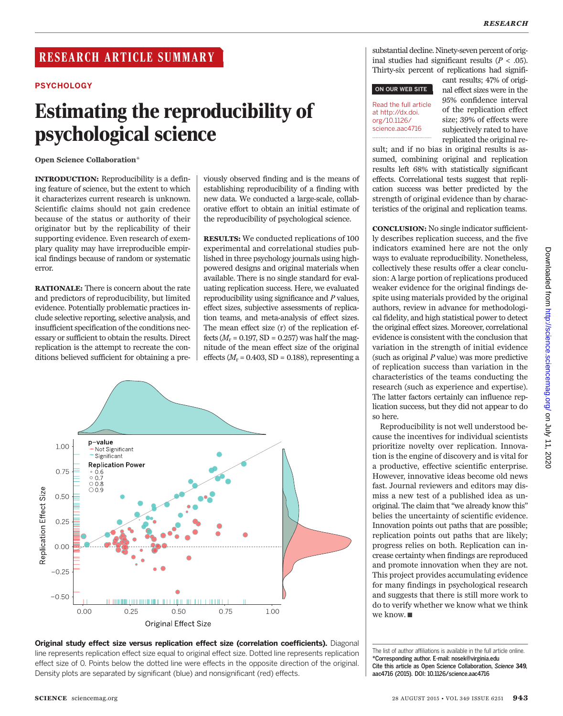# **PSYCHOLOGY**

# Estimating the reproducibility of psychological science

Open Science Collaboration\*

INTRODUCTION: Reproducibility is a defining feature of science, but the extent to which it characterizes current research is unknown. Scientific claims should not gain credence because of the status or authority of their originator but by the replicability of their supporting evidence. Even research of exemplary quality may have irreproducible empirical findings because of random or systematic error.

RATIONALE: There is concern about the rate and predictors of reproducibility, but limited evidence. Potentially problematic practices include selective reporting, selective analysis, and insufficient specification of the conditions necessary or sufficient to obtain the results. Direct replication is the attempt to recreate the conditions believed sufficient for obtaining a pre-

viously observed finding and is the means of establishing reproducibility of a finding with new data. We conducted a large-scale, collaborative effort to obtain an initial estimate of the reproducibility of psychological science.

RESULTS: We conducted replications of 100 experimental and correlational studies published in three psychology journals using highpowered designs and original materials when available. There is no single standard for evaluating replication success. Here, we evaluated reproducibility using significance and P values, effect sizes, subjective assessments of replication teams, and meta-analysis of effect sizes. The mean effect size (r) of the replication effects ( $M_r$  = 0.197, SD = 0.257) was half the magnitude of the mean effect size of the original effects ( $M_r$  = 0.403, SD = 0.188), representing a





substantial decline. Ninety-seven percent of original studies had significant results ( $P < .05$ ). Thirty-six percent of replications had signifi-

◥

#### ON OUR WEB SITE

#### Read the full article at http://dx.doi. org/10.1126/ science.aac4716 ..................................................

cant results; 47% of original effect sizes were in the 95% confidence interval of the replication effect size; 39% of effects were subjectively rated to have replicated the original re-

sult; and if no bias in original results is assumed, combining original and replication results left 68% with statistically significant effects. Correlational tests suggest that replication success was better predicted by the strength of original evidence than by characteristics of the original and replication teams.

CONCLUSION: No single indicator sufficiently describes replication success, and the five indicators examined here are not the only ways to evaluate reproducibility. Nonetheless, collectively these results offer a clear conclusion: A large portion of replications produced weaker evidence for the original findings despite using materials provided by the original authors, review in advance for methodological fidelity, and high statistical power to detect the original effect sizes. Moreover, correlational evidence is consistent with the conclusion that variation in the strength of initial evidence (such as original  $P$  value) was more predictive of replication success than variation in the characteristics of the teams conducting the research (such as experience and expertise). The latter factors certainly can influence replication success, but they did not appear to do so here.

Reproducibility is not well understood because the incentives for individual scientists prioritize novelty over replication. Innovation is the engine of discovery and is vital for a productive, effective scientific enterprise. However, innovative ideas become old news fast. Journal reviewers and editors may dismiss a new test of a published idea as unoriginal. The claim that "we already know this" belies the uncertainty of scientific evidence. Innovation points out paths that are possible; replication points out paths that are likely; progress relies on both. Replication can increase certainty when findings are reproduced and promote innovation when they are not. This project provides accumulating evidence for many findings in psychological research and suggests that there is still more work to do to verify whether we know what we think we know. ■

The list of author affiliations is available in the full article online. \*Corresponding author. E-mail: nosek@virginia.edu Cite this article as Open Science Collaboration, Science 349, aac4716 (2015). DOI: 10.1126/science.aac4716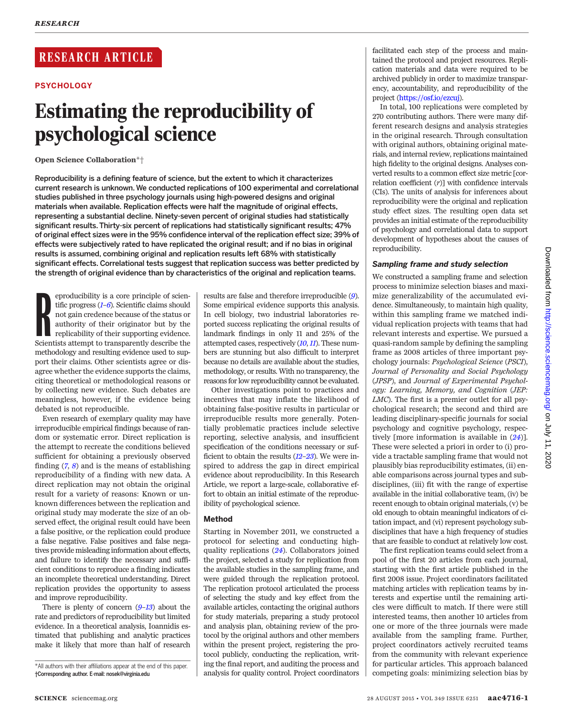# RESEARCH ARTICLE

# **PSYCHOLOGY**

# Estimating the reproducibility of psychological science

Open Science Collaboration\*†

Reproducibility is a defining feature of science, but the extent to which it characterizes current research is unknown. We conducted replications of 100 experimental and correlational studies published in three psychology journals using high-powered designs and original materials when available. Replication effects were half the magnitude of original effects, representing a substantial decline. Ninety-seven percent of original studies had statistically significant results. Thirty-six percent of replications had statistically significant results; 47% of original effect sizes were in the 95% confidence interval of the replication effect size; 39% of effects were subjectively rated to have replicated the original result; and if no bias in original results is assumed, combining original and replication results left 68% with statistically significant effects. Correlational tests suggest that replication success was better predicted by the strength of original evidence than by characteristics of the original and replication teams.

producibility is a core principle of scientific progress (*1–6*). Scientific claims should not gain credence because of the status or authority of their originator but by the replicability of their supporting evidence. Sci eproducibility is a core principle of scientific progress  $(I-6)$  $(I-6)$  $(I-6)$ . Scientific claims should not gain credence because of the status or authority of their originator but by the replicability of their supporting evidence. methodology and resulting evidence used to support their claims. Other scientists agree or disagree whether the evidence supports the claims, citing theoretical or methodological reasons or by collecting new evidence. Such debates are meaningless, however, if the evidence being debated is not reproducible.

Even research of exemplary quality may have irreproducible empirical findings because of random or systematic error. Direct replication is the attempt to recreate the conditions believed sufficient for obtaining a previously observed finding  $(7, 8)$  $(7, 8)$  $(7, 8)$  $(7, 8)$  $(7, 8)$  and is the means of establishing reproducibility of a finding with new data. A direct replication may not obtain the original result for a variety of reasons: Known or unknown differences between the replication and original study may moderate the size of an observed effect, the original result could have been a false positive, or the replication could produce a false negative. False positives and false negatives provide misleading information about effects, and failure to identify the necessary and sufficient conditions to reproduce a finding indicates an incomplete theoretical understanding. Direct replication provides the opportunity to assess and improve reproducibility.

There is plenty of concern  $(9-13)$  $(9-13)$  $(9-13)$  $(9-13)$  $(9-13)$  about the rate and predictors of reproducibility but limited evidence. In a theoretical analysis, Ioannidis estimated that publishing and analytic practices make it likely that more than half of research

results are false and therefore irreproducible ([9](#page-7-0)). Some empirical evidence supports this analysis. In cell biology, two industrial laboratories reported success replicating the original results of landmark findings in only 11 and 25% of the attempted cases, respectively ([10](#page-7-0),[11](#page-7-0)). These numbers are stunning but also difficult to interpret because no details are available about the studies, methodology, or results. With no transparency, the reasons for low reproducibility cannot be evaluated.

Other investigations point to practices and incentives that may inflate the likelihood of obtaining false-positive results in particular or irreproducible results more generally. Potentially problematic practices include selective reporting, selective analysis, and insufficient specification of the conditions necessary or sufficient to obtain the results  $(12-23)$  $(12-23)$  $(12-23)$  $(12-23)$  $(12-23)$ . We were inspired to address the gap in direct empirical evidence about reproducibility. In this Research Article, we report a large-scale, collaborative effort to obtain an initial estimate of the reproducibility of psychological science.

# Method

Starting in November 2011, we constructed a protocol for selecting and conducting highquality replications ([24](#page-7-0)). Collaborators joined the project, selected a study for replication from the available studies in the sampling frame, and were guided through the replication protocol. The replication protocol articulated the process of selecting the study and key effect from the available articles, contacting the original authors for study materials, preparing a study protocol and analysis plan, obtaining review of the protocol by the original authors and other members within the present project, registering the protocol publicly, conducting the replication, writing the final report, and auditing the process and analysis for quality control. Project coordinators

facilitated each step of the process and maintained the protocol and project resources. Replication materials and data were required to be archived publicly in order to maximize transparency, accountability, and reproducibility of the project [\(https://osf.io/ezcuj\)](https://osf.io/ezcuj).

In total, 100 replications were completed by 270 contributing authors. There were many different research designs and analysis strategies in the original research. Through consultation with original authors, obtaining original materials, and internal review, replications maintained high fidelity to the original designs. Analyses converted results to a common effect size metric [correlation coefficient  $(r)$ ] with confidence intervals (CIs). The units of analysis for inferences about reproducibility were the original and replication study effect sizes. The resulting open data set provides an initial estimate of the reproducibility of psychology and correlational data to support development of hypotheses about the causes of reproducibility.

# Sampling frame and study selection

We constructed a sampling frame and selection process to minimize selection biases and maximize generalizability of the accumulated evidence. Simultaneously, to maintain high quality, within this sampling frame we matched individual replication projects with teams that had relevant interests and expertise. We pursued a quasi-random sample by defining the sampling frame as 2008 articles of three important psychology journals: Psychological Science (PSCI), Journal of Personality and Social Psychology (JPSP), and Journal of Experimental Psychology: Learning, Memory, and Cognition (JEP: LMC). The first is a premier outlet for all psychological research; the second and third are leading disciplinary-specific journals for social psychology and cognitive psychology, respectively [more information is available in ([24](#page-7-0))]. These were selected a priori in order to (i) provide a tractable sampling frame that would not plausibly bias reproducibility estimates, (ii) enable comparisons across journal types and subdisciplines, (iii) fit with the range of expertise available in the initial collaborative team, (iv) be recent enough to obtain original materials, (v) be old enough to obtain meaningful indicators of citation impact, and (vi) represent psychology subdisciplines that have a high frequency of studies that are feasible to conduct at relatively low cost.

The first replication teams could select from a pool of the first 20 articles from each journal, starting with the first article published in the first 2008 issue. Project coordinators facilitated matching articles with replication teams by interests and expertise until the remaining articles were difficult to match. If there were still interested teams, then another 10 articles from one or more of the three journals were made available from the sampling frame. Further, project coordinators actively recruited teams from the community with relevant experience for particular articles. This approach balanced competing goals: minimizing selection bias by

<sup>\*</sup>All authors with their affiliations appear at the end of this paper. *†*Corresponding author. E-mail: nosek@virginia.edu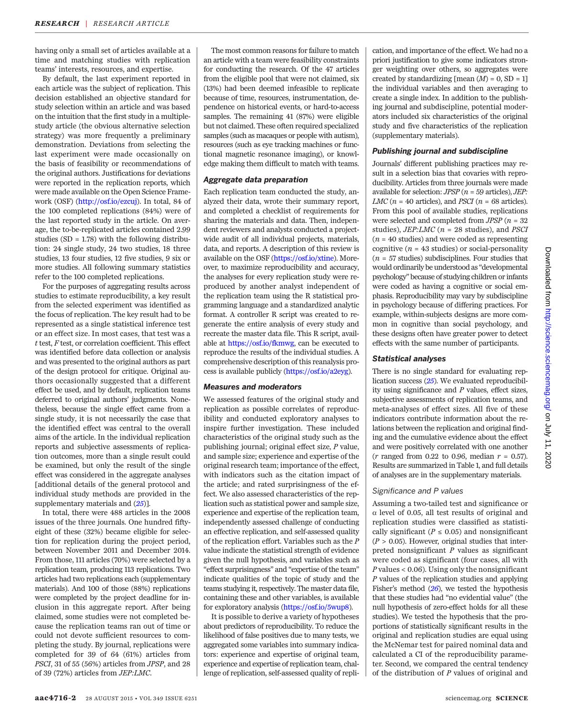having only a small set of articles available at a time and matching studies with replication teams' interests, resources, and expertise.

By default, the last experiment reported in each article was the subject of replication. This decision established an objective standard for study selection within an article and was based on the intuition that the first study in a multiplestudy article (the obvious alternative selection strategy) was more frequently a preliminary demonstration. Deviations from selecting the last experiment were made occasionally on the basis of feasibility or recommendations of the original authors. Justifications for deviations were reported in the replication reports, which were made available on the Open Science Framework (OSF) ([http://osf.io/ezcuj\)](http://osf.io/ezcuj). In total, 84 of the 100 completed replications (84%) were of the last reported study in the article. On average, the to-be-replicated articles contained 2.99 studies  $(SD = 1.78)$  with the following distribution: 24 single study, 24 two studies, 18 three studies, 13 four studies, 12 five studies, 9 six or more studies. All following summary statistics refer to the 100 completed replications.

For the purposes of aggregating results across studies to estimate reproducibility, a key result from the selected experiment was identified as the focus of replication. The key result had to be represented as a single statistical inference test or an effect size. In most cases, that test was a  $t$  test,  $F$  test, or correlation coefficient. This effect was identified before data collection or analysis and was presented to the original authors as part of the design protocol for critique. Original authors occasionally suggested that a different effect be used, and by default, replication teams deferred to original authors' judgments. Nonetheless, because the single effect came from a single study, it is not necessarily the case that the identified effect was central to the overall aims of the article. In the individual replication reports and subjective assessments of replication outcomes, more than a single result could be examined, but only the result of the single effect was considered in the aggregate analyses [additional details of the general protocol and individual study methods are provided in the supplementary materials and  $(25)$  $(25)$  $(25)$ ].

In total, there were 488 articles in the 2008 issues of the three journals. One hundred fiftyeight of these (32%) became eligible for selection for replication during the project period, between November 2011 and December 2014. From those, 111 articles (70%) were selected by a replication team, producing 113 replications. Two articles had two replications each (supplementary materials). And 100 of those (88%) replications were completed by the project deadline for inclusion in this aggregate report. After being claimed, some studies were not completed because the replication teams ran out of time or could not devote sufficient resources to completing the study. By journal, replications were completed for 39 of 64 (61%) articles from PSCI, 31 of 55 (56%) articles from JPSP, and 28 of 39 (72%) articles from JEP:LMC.

The most common reasons for failure to match an article with a team were feasibility constraints for conducting the research. Of the 47 articles from the eligible pool that were not claimed, six (13%) had been deemed infeasible to replicate because of time, resources, instrumentation, dependence on historical events, or hard-to-access samples. The remaining 41 (87%) were eligible but not claimed. These often required specialized samples (such as macaques or people with autism), resources (such as eye tracking machines or functional magnetic resonance imaging), or knowledge making them difficult to match with teams.

#### Aggregate data preparation

Each replication team conducted the study, analyzed their data, wrote their summary report, and completed a checklist of requirements for sharing the materials and data. Then, independent reviewers and analysts conducted a projectwide audit of all individual projects, materials, data, and reports. A description of this review is available on the OSF [\(https://osf.io/xtine](https://osf.io/xtine)). Moreover, to maximize reproducibility and accuracy, the analyses for every replication study were reproduced by another analyst independent of the replication team using the R statistical programming language and a standardized analytic format. A controller R script was created to regenerate the entire analysis of every study and recreate the master data file. This R script, available at <https://osf.io/fkmwg>, can be executed to reproduce the results of the individual studies. A comprehensive description of this reanalysis process is available publicly [\(https://osf.io/a2eyg](https://osf.io/a2eyg)).

#### Measures and moderators

We assessed features of the original study and replication as possible correlates of reproducibility and conducted exploratory analyses to inspire further investigation. These included characteristics of the original study such as the publishing journal; original effect size, P value, and sample size; experience and expertise of the original research team; importance of the effect, with indicators such as the citation impact of the article; and rated surprisingness of the effect. We also assessed characteristics of the replication such as statistical power and sample size, experience and expertise of the replication team, independently assessed challenge of conducting an effective replication, and self-assessed quality of the replication effort. Variables such as the P value indicate the statistical strength of evidence given the null hypothesis, and variables such as "effect surprisingness" and "expertise of the team" indicate qualities of the topic of study and the teams studying it, respectively. The master data file, containing these and other variables, is available for exploratory analysis [\(https://osf.io/5wup8](https://osf.io/5wup8)).

It is possible to derive a variety of hypotheses about predictors of reproducibility. To reduce the likelihood of false positives due to many tests, we aggregated some variables into summary indicators: experience and expertise of original team, experience and expertise of replication team, challenge of replication, self-assessed quality of replication, and importance of the effect. We had no a priori justification to give some indicators stronger weighting over others, so aggregates were created by standardizing  $[mean (M) = 0, SD = 1]$ the individual variables and then averaging to create a single index. In addition to the publishing journal and subdiscipline, potential moderators included six characteristics of the original study and five characteristics of the replication (supplementary materials).

#### Publishing journal and subdiscipline

Journals' different publishing practices may result in a selection bias that covaries with reproducibility. Articles from three journals were made available for selection:  $JPSP (n = 59 \text{ articles}), JEP$ : LMC ( $n = 40$  articles), and *PSCI* ( $n = 68$  articles). From this pool of available studies, replications were selected and completed from  $JPSP(n = 32)$ studies),  $JEP:LMC$  ( $n = 28$  studies), and *PSCI*  $(n = 40$  studies) and were coded as representing cognitive ( $n = 43$  studies) or social-personality  $(n = 57$  studies) subdisciplines. Four studies that would ordinarily be understood as "developmental psychology" because of studying children or infants were coded as having a cognitive or social emphasis. Reproducibility may vary by subdiscipline in psychology because of differing practices. For example, within-subjects designs are more common in cognitive than social psychology, and these designs often have greater power to detect effects with the same number of participants.

#### Statistical analyses

There is no single standard for evaluating replication success ([25](#page-7-0)). We evaluated reproducibility using significance and  $P$  values, effect sizes, subjective assessments of replication teams, and meta-analyses of effect sizes. All five of these indicators contribute information about the relations between the replication and original finding and the cumulative evidence about the effect and were positively correlated with one another  $(r \text{ ranged from } 0.22 \text{ to } 0.96, \text{ median } r = 0.57).$ Results are summarized in Table 1, and full details of analyses are in the supplementary materials.

#### Significance and P values

Assuming a two-tailed test and significance or  $\alpha$  level of 0.05, all test results of original and replication studies were classified as statistically significant ( $P \le 0.05$ ) and nonsignificant  $(P > 0.05)$ . However, original studies that interpreted nonsignificant  $P$  values as significant were coded as significant (four cases, all with  $P$  values < 0.06). Using only the nonsignificant P values of the replication studies and applying Fisher's method  $(26)$  $(26)$  $(26)$ , we tested the hypothesis that these studies had "no evidential value" (the null hypothesis of zero-effect holds for all these studies). We tested the hypothesis that the proportions of statistically significant results in the original and replication studies are equal using the McNemar test for paired nominal data and calculated a CI of the reproducibility parameter. Second, we compared the central tendency of the distribution of P values of original and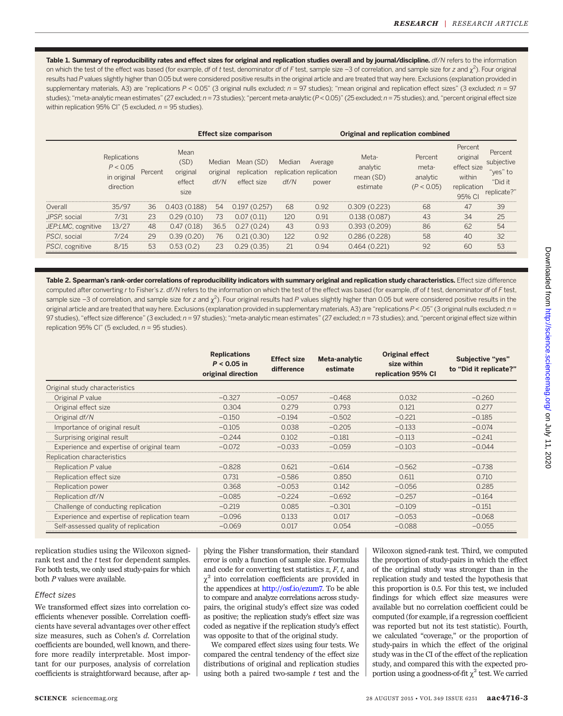Table 1. Summary of reproducibility rates and effect sizes for original and replication studies overall and by journal/discipline. df/N refers to the information on which the test of the effect was based (for example, *df* of t test, denominator *df* of F test, sample size –3 of correlation, and sample size for z and  $\chi^2$ ). Four original results had P values slightly higher than 0.05 but were considered positive results in the original article and are treated that way here. Exclusions (explanation provided in supplementary materials, A3) are "replications  $P < 0.05$ " (3 original nulls excluded;  $n = 97$  studies); "mean original and replication effect sizes" (3 excluded;  $n = 97$ studies); "meta-analytic mean estimates" (27 excluded; n = 73 studies); "percent meta-analytic (P < 0.05)" (25 excluded; n = 75 studies); and, "percent original effect size within replication 95% Cl" (5 excluded,  $n = 95$  studies).

|                    |                                                      |         | <b>Effect size comparison</b>              |                            |                                         |                | Original and replication combined           |                                            |                                            |                                                                      |                                                           |
|--------------------|------------------------------------------------------|---------|--------------------------------------------|----------------------------|-----------------------------------------|----------------|---------------------------------------------|--------------------------------------------|--------------------------------------------|----------------------------------------------------------------------|-----------------------------------------------------------|
|                    | Replications<br>P < 0.05<br>in original<br>direction | Percent | Mean<br>(SD)<br>original<br>effect<br>size | Median<br>original<br>df/N | Mean (SD)<br>replication<br>effect size | Median<br>df/N | Average<br>replication replication<br>power | Meta-<br>analytic<br>mean (SD)<br>estimate | Percent<br>meta-<br>analytic<br>(P < 0.05) | Percent<br>original<br>effect size<br>within<br>replication<br>95% C | Percent<br>subiective<br>'ves" to<br>"Did it<br>eplicate? |
| Overall<br>        | 35/97                                                | 36      | 0.403(0.188)                               | 54                         | 0.19/ (0.25/)                           | 68             | 0.92                                        | 0.309(0.223)                               | 68                                         | 47                                                                   | 39<br>.                                                   |
| JPSP, social       | 7/31                                                 | 23      | (0.10)<br>0.29                             | 73                         | (0.11)<br>0.07                          | 120            | 0.91                                        | 0.138(0.087)                               | 43                                         | 34                                                                   | 25                                                        |
| JEP:LMC, cognitive | 13/27                                                | 48      | (0.18)<br>0.4/                             | 36.5                       | (0.24)                                  | 43             | 0.93                                        | 0.393(0.209)                               | 86                                         | 62                                                                   | 54<br>                                                    |
| PSCI, social       | 7/24                                                 | 29      | (0.20)<br>0.39                             | 76                         | (0.30)                                  | 122            | 0.92                                        | 0.286 (0.228)                              | 58                                         | ΔC                                                                   | 32                                                        |
| PSCI, cognitive    |                                                      | 53      |                                            |                            | .35'                                    |                | N 94                                        |                                            |                                            | 60                                                                   | 53                                                        |

Table 2. Spearman's rank-order correlations of reproducibility indicators with summary original and replication study characteristics. Effect size difference computed after converting r to Fisher's z. df/N refers to the information on which the test of the effect was based (for example, df of t test, denominator df of F test, sample size –3 of correlation, and sample size for z and  $\chi^2$ ). Four original results had P values slightly higher than 0.05 but were considered positive results in the original article and are treated that way here. Exclusions (explanation provided in supplementary materials, A3) are "replications  $P < .05$ " (3 original nulls excluded;  $n =$ 97 studies), "effect size difference" (3 excluded; n = 97 studies); "meta-analytic mean estimates" (27 excluded; n = 73 studies); and, "percent original effect size within replication 95% Cl" (5 excluded,  $n = 95$  studies).

|                                              | <b>Replications</b><br>$P < 0.05$ in<br>original direction | <b>Effect size</b><br>difference | Meta-analytic<br>estimate | Original effect<br>size within<br>replication 95% CI | Subjective "yes"<br>to "Did it replicate?" |
|----------------------------------------------|------------------------------------------------------------|----------------------------------|---------------------------|------------------------------------------------------|--------------------------------------------|
| Original study characteristics               |                                                            |                                  |                           |                                                      |                                            |
| Original P value                             |                                                            |                                  |                           |                                                      |                                            |
| Original effect size                         | 0.304                                                      | O 279                            | 0.793                     | O 121                                                |                                            |
| Original df/N                                |                                                            | $-0.194$                         | $-0.502$                  | $-0.221$                                             | $-0.185$                                   |
| Importance of original result                |                                                            |                                  | $-0.205$                  | $-0.133$                                             |                                            |
| Surprising original result                   | $-0.244$                                                   | 0.102                            | $-0.181$                  | $-0.113$                                             |                                            |
| Experience and expertise of original team    |                                                            | $-0.033$                         | $-0.059$                  |                                                      |                                            |
| Replication characteristics                  |                                                            |                                  |                           |                                                      |                                            |
| Replication P value                          | $-0.828$                                                   | 0.621                            | $-0614$                   |                                                      |                                            |
| Replication effect size                      | 0.731                                                      | $-0.586$                         | 0.850                     | 0.611                                                |                                            |
| Replication power                            | 0.368                                                      | $-0.053$                         | 0.142                     | $-0.056$                                             |                                            |
| Replication df/N                             | $-0.085$                                                   | $-0.224$                         | $-0692$                   | $-0.257$                                             |                                            |
| Challenge of conducting replication          | $-0.219$                                                   | 0.085                            | $-0.301$                  | $-0.109$                                             |                                            |
| Experience and expertise of replication team | $-0.096$                                                   | 0.133                            | O 017                     |                                                      |                                            |
| Self-assessed quality of replication         | $-0.069$                                                   | 0.017                            | N 054                     |                                                      |                                            |

replication studies using the Wilcoxon signedrank test and the t test for dependent samples. For both tests, we only used study-pairs for which both P values were available.

#### Effect sizes

We transformed effect sizes into correlation coefficients whenever possible. Correlation coefficients have several advantages over other effect size measures, such as Cohen's d. Correlation coefficients are bounded, well known, and therefore more readily interpretable. Most important for our purposes, analysis of correlation coefficients is straightforward because, after applying the Fisher transformation, their standard error is only a function of sample size. Formulas and code for converting test statistics  $z$ ,  $F$ ,  $t$ , and  $\chi^2$  into correlation coefficients are provided in the appendices at [http://osf.io/ezum7.](http://osf.io/ezum7) To be able to compare and analyze correlations across studypairs, the original study's effect size was coded as positive; the replication study's effect size was coded as negative if the replication study's effect was opposite to that of the original study.

We compared effect sizes using four tests. We compared the central tendency of the effect size distributions of original and replication studies using both a paired two-sample  $t$  test and the

Wilcoxon signed-rank test. Third, we computed the proportion of study-pairs in which the effect of the original study was stronger than in the replication study and tested the hypothesis that this proportion is 0.5. For this test, we included findings for which effect size measures were available but no correlation coefficient could be computed (for example, if a regression coefficient was reported but not its test statistic). Fourth, we calculated "coverage," or the proportion of study-pairs in which the effect of the original study was in the CI of the effect of the replication study, and compared this with the expected proportion using a goodness-of-fit  $\chi^2$  test. We carried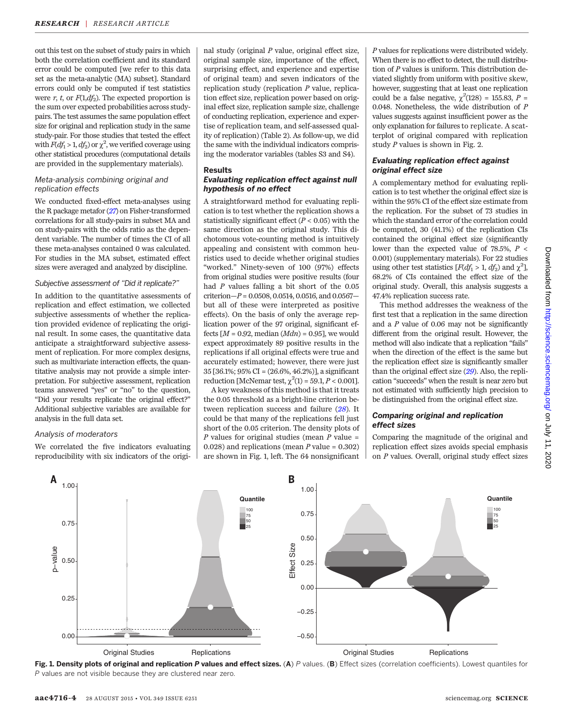out this test on the subset of study pairs in which both the correlation coefficient and its standard error could be computed [we refer to this data set as the meta-analytic (MA) subset]. Standard errors could only be computed if test statistics were r, t, or  $F(1, df_2)$ . The expected proportion is the sum over expected probabilities across studypairs. The test assumes the same population effect size for original and replication study in the same study-pair. For those studies that tested the effect with  $F(df_1 > 1, df_2)$  or  $\chi^2$ , we verified coverage using other statistical procedures (computational details are provided in the supplementary materials).

# Meta-analysis combining original and replication effects

We conducted fixed-effect meta-analyses using the R package metafor ([27](#page-7-0)) on Fisher-transformed correlations for all study-pairs in subset MA and on study-pairs with the odds ratio as the dependent variable. The number of times the CI of all these meta-analyses contained 0 was calculated. For studies in the MA subset, estimated effect sizes were averaged and analyzed by discipline.

#### Subjective assessment of "Did it replicate?"

In addition to the quantitative assessments of replication and effect estimation, we collected subjective assessments of whether the replication provided evidence of replicating the original result. In some cases, the quantitative data anticipate a straightforward subjective assessment of replication. For more complex designs, such as multivariate interaction effects, the quantitative analysis may not provide a simple interpretation. For subjective assessment, replication teams answered "yes" or "no" to the question, "Did your results replicate the original effect?" Additional subjective variables are available for analysis in the full data set.

# Analysis of moderators

We correlated the five indicators evaluating reproducibility with six indicators of the origi-

nal study (original  $P$  value, original effect size, original sample size, importance of the effect, surprising effect, and experience and expertise of original team) and seven indicators of the replication study (replication P value, replication effect size, replication power based on original effect size, replication sample size, challenge of conducting replication, experience and expertise of replication team, and self-assessed quality of replication) (Table 2). As follow-up, we did the same with the individual indicators comprising the moderator variables (tables S3 and S4).

#### Results Evaluating replication effect against null hypothesis of no effect

A straightforward method for evaluating replication is to test whether the replication shows a statistically significant effect ( $P < 0.05$ ) with the same direction as the original study. This dichotomous vote-counting method is intuitively appealing and consistent with common heuristics used to decide whether original studies "worked." Ninety-seven of 100 (97%) effects from original studies were positive results (four had P values falling a bit short of the 0.05 criterion $-P = 0.0508, 0.0514, 0.0516,$  and  $0.0567$ but all of these were interpreted as positive effects). On the basis of only the average replication power of the 97 original, significant effects  $[M = 0.92, \text{median}(Mdn) = 0.95]$ , we would expect approximately 89 positive results in the replications if all original effects were true and accurately estimated; however, there were just 35 [36.1%; 95% CI = (26.6%, 46.2%)], a significant reduction [McNemar test,  $\chi^2(1) = 59.1, P < 0.001$ ].

A key weakness of this method is that it treats the 0.05 threshold as a bright-line criterion between replication success and failure  $(28)$  $(28)$  $(28)$ . It could be that many of the replications fell just short of the 0.05 criterion. The density plots of  $P$  values for original studies (mean  $P$  value = 0.028) and replications (mean  $P$  value = 0.302) are shown in Fig. 1, left. The 64 nonsignificant

P values for replications were distributed widely. When there is no effect to detect, the null distribution of P values is uniform. This distribution deviated slightly from uniform with positive skew, however, suggesting that at least one replication could be a false negative,  $\chi^2(128) = 155.83$ ,  $P =$ 0.048. Nonetheless, the wide distribution of P values suggests against insufficient power as the only explanation for failures to replicate. A scatterplot of original compared with replication study P values is shown in Fig. 2.

# Evaluating replication effect against original effect size

A complementary method for evaluating replication is to test whether the original effect size is within the 95% CI of the effect size estimate from the replication. For the subset of 73 studies in which the standard error of the correlation could be computed, 30 (41.1%) of the replication CIs contained the original effect size (significantly lower than the expected value of  $78.5\%$ ,  $P \leq$ 0.001) (supplementary materials). For 22 studies using other test statistics  $[F(df_1 > 1, df_2)$  and  $\chi^2$ ], 68.2% of CIs contained the effect size of the original study. Overall, this analysis suggests a 47.4% replication success rate.

This method addresses the weakness of the first test that a replication in the same direction and a  $P$  value of 0.06 may not be significantly different from the original result. However, the method will also indicate that a replication "fails" when the direction of the effect is the same but the replication effect size is significantly smaller than the original effect size  $(29)$  $(29)$  $(29)$ . Also, the replication "succeeds" when the result is near zero but not estimated with sufficiently high precision to be distinguished from the original effect size.

### Comparing original and replication effect sizes

Comparing the magnitude of the original and replication effect sizes avoids special emphasis on P values. Overall, original study effect sizes

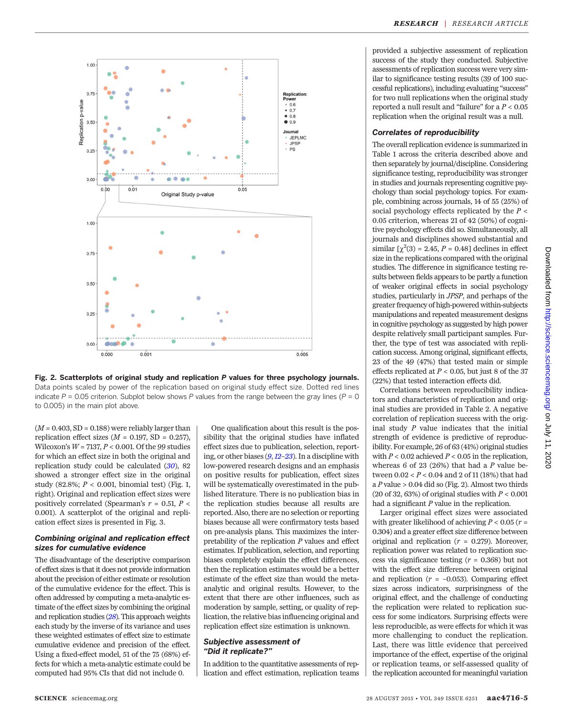

Fig. 2. Scatterplots of original study and replication P values for three psychology journals. Data points scaled by power of the replication based on original study effect size. Dotted red lines indicate  $P = 0.05$  criterion. Subplot below shows P values from the range between the gray lines ( $P = 0$ ) to 0.005) in the main plot above.

 $(M = 0.403, SD = 0.188)$  were reliably larger than replication effect sizes  $(M = 0.197, SD = 0.257)$ . Wilcoxon's  $W = 7137, P < 0.001$ . Of the 99 studies for which an effect size in both the original and replication study could be calculated  $(30)$  $(30)$  $(30)$ , 82 showed a stronger effect size in the original study (82.8%;  $P < 0.001$ , binomial test) (Fig. 1, right). Original and replication effect sizes were positively correlated (Spearman's  $r = 0.51, P <$ 0.001). A scatterplot of the original and replication effect sizes is presented in Fig. 3.

#### Combining original and replication effect sizes for cumulative evidence

The disadvantage of the descriptive comparison of effect sizes is that it does not provide information about the precision of either estimate or resolution of the cumulative evidence for the effect. This is often addressed by computing a meta-analytic estimate of the effect sizes by combining the original and replication studies ([28](#page-7-0)). This approach weights each study by the inverse of its variance and uses these weighted estimates of effect size to estimate cumulative evidence and precision of the effect. Using a fixed-effect model, 51 of the 75 (68%) effects for which a meta-analytic estimate could be computed had 95% CIs that did not include 0.

One qualification about this result is the possibility that the original studies have inflated effect sizes due to publication, selection, reporting, or other biases ([9](#page-7-0),[12](#page-7-0)–[23](#page-7-0)). In a discipline with low-powered research designs and an emphasis on positive results for publication, effect sizes will be systematically overestimated in the published literature. There is no publication bias in the replication studies because all results are reported. Also, there are no selection or reporting biases because all were confirmatory tests based on pre-analysis plans. This maximizes the interpretability of the replication  $P$  values and effect estimates. If publication, selection, and reporting biases completely explain the effect differences, then the replication estimates would be a better estimate of the effect size than would the metaanalytic and original results. However, to the extent that there are other influences, such as moderation by sample, setting, or quality of replication, the relative bias influencing original and replication effect size estimation is unknown.

#### Subjective assessment of "Did it replicate?"

In addition to the quantitative assessments of replication and effect estimation, replication teams provided a subjective assessment of replication success of the study they conducted. Subjective assessments of replication success were very similar to significance testing results (39 of 100 successful replications), including evaluating "success" for two null replications when the original study reported a null result and "failure" for a  $P < 0.05$ replication when the original result was a null.

# Correlates of reproducibility

The overall replication evidence is summarized in Table 1 across the criteria described above and then separately by journal/discipline. Considering significance testing, reproducibility was stronger in studies and journals representing cognitive psychology than social psychology topics. For example, combining across journals, 14 of 55 (25%) of social psychology effects replicated by the  $P \leq$ 0.05 criterion, whereas 21 of 42 (50%) of cognitive psychology effects did so. Simultaneously, all journals and disciplines showed substantial and similar  $[\chi^2(3) = 2.45, P = 0.48]$  declines in effect size in the replications compared with the original studies. The difference in significance testing results between fields appears to be partly a function of weaker original effects in social psychology studies, particularly in JPSP, and perhaps of the greater frequency of high-powered within-subjects manipulations and repeated measurement designs in cognitive psychology as suggested by high power despite relatively small participant samples. Further, the type of test was associated with replication success. Among original, significant effects, 23 of the 49 (47%) that tested main or simple effects replicated at  $P < 0.05$ , but just 8 of the 37 (22%) that tested interaction effects did.

Correlations between reproducibility indicators and characteristics of replication and original studies are provided in Table 2. A negative correlation of replication success with the original study  $P$  value indicates that the initial strength of evidence is predictive of reproducibility. For example, 26 of 63 (41%) original studies with  $P < 0.02$  achieved  $P < 0.05$  in the replication. whereas 6 of 23 (26%) that had a  $P$  value between  $0.02 < P < 0.04$  and 2 of 11 (18%) that had a  $P$  value  $> 0.04$  did so (Fig. 2). Almost two thirds (20 of 32, 63%) of original studies with  $P < 0.001$ had a significant  $P$  value in the replication.

Larger original effect sizes were associated with greater likelihood of achieving  $P < 0.05$  ( $r =$ 0.304) and a greater effect size difference between original and replication  $(r = 0.279)$ . Moreover, replication power was related to replication success via significance testing  $(r = 0.368)$  but not with the effect size difference between original and replication  $(r = -0.053)$ . Comparing effect sizes across indicators, surprisingness of the original effect, and the challenge of conducting the replication were related to replication success for some indicators. Surprising effects were less reproducible, as were effects for which it was more challenging to conduct the replication. Last, there was little evidence that perceived importance of the effect, expertise of the original or replication teams, or self-assessed quality of the replication accounted for meaningful variation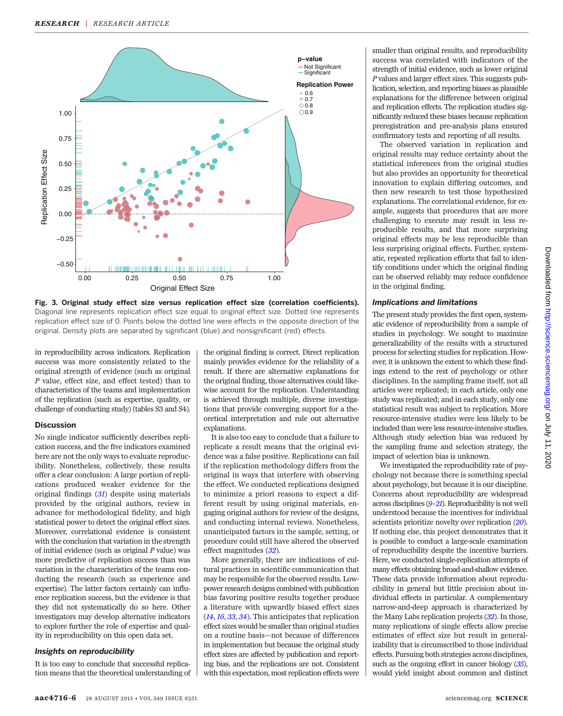

Fig. 3. Original study effect size versus replication effect size (correlation coefficients). Diagonal line represents replication effect size equal to original effect size. Dotted line represents replication effect size of 0. Points below the dotted line were effects in the opposite direction of the original. Density plots are separated by significant (blue) and nonsignificant (red) effects.

in reproducibility across indicators. Replication success was more consistently related to the original strength of evidence (such as original P value, effect size, and effect tested) than to characteristics of the teams and implementation of the replication (such as expertise, quality, or challenge of conducting study) (tables S3 and S4).

# Discussion

No single indicator sufficiently describes replication success, and the five indicators examined here are not the only ways to evaluate reproducibility. Nonetheless, collectively, these results offer a clear conclusion: A large portion of replications produced weaker evidence for the original findings  $(31)$  $(31)$  $(31)$  despite using materials provided by the original authors, review in advance for methodological fidelity, and high statistical power to detect the original effect sizes. Moreover, correlational evidence is consistent with the conclusion that variation in the strength of initial evidence (such as original  $P$  value) was more predictive of replication success than was variation in the characteristics of the teams conducting the research (such as experience and expertise). The latter factors certainly can influence replication success, but the evidence is that they did not systematically do so here. Other investigators may develop alternative indicators to explore further the role of expertise and quality in reproducibility on this open data set.

#### Insights on reproducibility

It is too easy to conclude that successful replication means that the theoretical understanding of

the original finding is correct. Direct replication mainly provides evidence for the reliability of a result. If there are alternative explanations for the original finding, those alternatives could likewise account for the replication. Understanding is achieved through multiple, diverse investigations that provide converging support for a theoretical interpretation and rule out alternative explanations.

It is also too easy to conclude that a failure to replicate a result means that the original evidence was a false positive. Replications can fail if the replication methodology differs from the original in ways that interfere with observing the effect. We conducted replications designed to minimize a priori reasons to expect a different result by using original materials, engaging original authors for review of the designs, and conducting internal reviews. Nonetheless, unanticipated factors in the sample, setting, or procedure could still have altered the observed effect magnitudes ([32](#page-7-0)).

More generally, there are indications of cultural practices in scientific communication that may be responsible for the observed results. Lowpower research designs combined with publication bias favoring positive results together produce a literature with upwardly biased effect sizes ([14](#page-7-0), [16](#page-7-0), [33](#page-7-0), [34](#page-7-0)). This anticipates that replication effect sizes would be smaller than original studies on a routine basis—not because of differences in implementation but because the original study effect sizes are affected by publication and reporting bias, and the replications are not. Consistent with this expectation, most replication effects were smaller than original results, and reproducibility success was correlated with indicators of the strength of initial evidence, such as lower original P values and larger effect sizes. This suggests publication, selection, and reporting biases as plausible explanations for the difference between original and replication effects. The replication studies significantly reduced these biases because replication preregistration and pre-analysis plans ensured confirmatory tests and reporting of all results.

The observed variation in replication and original results may reduce certainty about the statistical inferences from the original studies but also provides an opportunity for theoretical innovation to explain differing outcomes, and then new research to test those hypothesized explanations. The correlational evidence, for example, suggests that procedures that are more challenging to execute may result in less reproducible results, and that more surprising original effects may be less reproducible than less surprising original effects. Further, systematic, repeated replication efforts that fail to identify conditions under which the original finding can be observed reliably may reduce confidence in the original finding.

#### Implications and limitations

The present study provides the first open, systematic evidence of reproducibility from a sample of studies in psychology. We sought to maximize generalizability of the results with a structured process for selecting studies for replication. However, it is unknown the extent to which these findings extend to the rest of psychology or other disciplines. In the sampling frame itself, not all articles were replicated; in each article, only one study was replicated; and in each study, only one statistical result was subject to replication. More resource-intensive studies were less likely to be included than were less resource-intensive studies. Although study selection bias was reduced by the sampling frame and selection strategy, the impact of selection bias is unknown.

We investigated the reproducibility rate of psychology not because there is something special about psychology, but because it is our discipline. Concerns about reproducibility are widespread across disciplines ([9](#page-7-0)–[21](#page-7-0)). Reproducibility is not well understood because the incentives for individual scientists prioritize novelty over replication  $(20)$  $(20)$  $(20)$ . If nothing else, this project demonstrates that it is possible to conduct a large-scale examination of reproducibility despite the incentive barriers. Here, we conducted single-replication attempts of many effects obtaining broad-and-shallow evidence. These data provide information about reproducibility in general but little precision about individual effects in particular. A complementary narrow-and-deep approach is characterized by the Many Labs replication projects ([32](#page-7-0)). In those, many replications of single effects allow precise estimates of effect size but result in generalizability that is circumscribed to those individual effects. Pursuing both strategies across disciplines, such as the ongoing effort in cancer biology  $(35)$  $(35)$  $(35)$ , would yield insight about common and distinct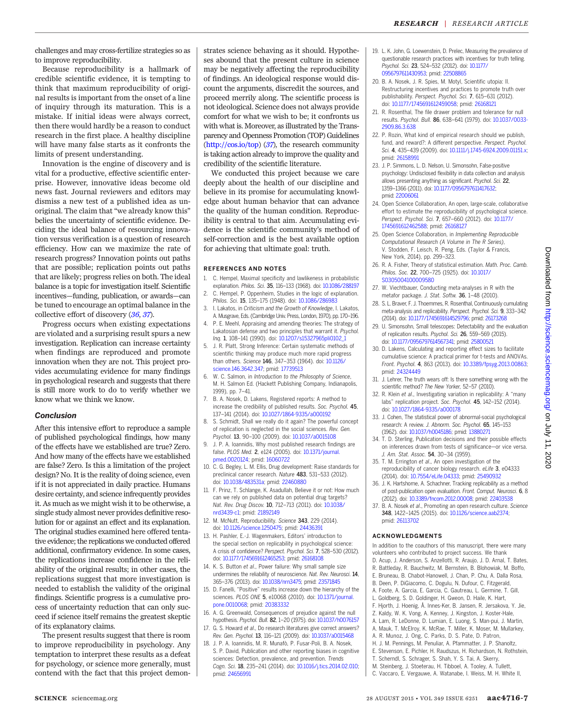<span id="page-7-0"></span>Because reproducibility is a hallmark of credible scientific evidence, it is tempting to think that maximum reproducibility of original results is important from the onset of a line of inquiry through its maturation. This is a mistake. If initial ideas were always correct, then there would hardly be a reason to conduct research in the first place. A healthy discipline will have many false starts as it confronts the limits of present understanding.

Innovation is the engine of discovery and is vital for a productive, effective scientific enterprise. However, innovative ideas become old news fast. Journal reviewers and editors may dismiss a new test of a published idea as unoriginal. The claim that "we already know this" belies the uncertainty of scientific evidence. Deciding the ideal balance of resourcing innovation versus verification is a question of research efficiency. How can we maximize the rate of research progress? Innovation points out paths that are possible; replication points out paths that are likely; progress relies on both. The ideal balance is a topic for investigation itself. Scientific incentives—funding, publication, or awards—can be tuned to encourage an optimal balance in the collective effort of discovery (36, 37).

Progress occurs when existing expectations are violated and a surprising result spurs a new investigation. Replication can increase certainty when findings are reproduced and promote innovation when they are not. This project provides accumulating evidence for many findings in psychological research and suggests that there is still more work to do to verify whether we know what we think we know.

#### Conclusion

After this intensive effort to reproduce a sample of published psychological findings, how many of the effects have we established are true? Zero. And how many of the effects have we established are false? Zero. Is this a limitation of the project design? No. It is the reality of doing science, even if it is not appreciated in daily practice. Humans desire certainty, and science infrequently provides it. As much as we might wish it to be otherwise, a single study almost never provides definitive resolution for or against an effect and its explanation. The original studies examined here offered tentative evidence; the replications we conducted offered additional, confirmatory evidence. In some cases, the replications increase confidence in the reliability of the original results; in other cases, the replications suggest that more investigation is needed to establish the validity of the original findings. Scientific progress is a cumulative process of uncertainty reduction that can only succeed if science itself remains the greatest skeptic of its explanatory claims.

The present results suggest that there is room to improve reproducibility in psychology. Any temptation to interpret these results as a defeat for psychology, or science more generally, must contend with the fact that this project demonstrates science behaving as it should. Hypotheses abound that the present culture in science may be negatively affecting the reproducibility of findings. An ideological response would discount the arguments, discredit the sources, and proceed merrily along. The scientific process is not ideological. Science does not always provide comfort for what we wish to be; it confronts us with what is. Moreover, as illustrated by the Transparency and Openness Promotion (TOP) Guidelines ([http://cos.io/top\)](http://cos.io/top) (37), the research community is taking action already to improve the quality and credibility of the scientific literature.

We conducted this project because we care deeply about the health of our discipline and believe in its promise for accumulating knowledge about human behavior that can advance the quality of the human condition. Reproducibility is central to that aim. Accumulating evidence is the scientific community's method of self-correction and is the best available option for achieving that ultimate goal: truth.

#### REFERENCES AND NOTES

- 1. C. Hempel, Maximal specificity and lawlikeness in probabilistic explanation. Philos. Sci. 35, 116–133 (1968). doi: [10.1086/288197](http://dx.doi.org/10.1086/288197)
- 2. C. Hempel, P. Oppenheim, Studies in the logic of explanation. Philos. Sci. 15, 135-175 (1948). doi: [10.1086/286983](http://dx.doi.org/10.1086/286983)
- 3. I. Lakatos, in Criticism and the Growth of Knowledge, I. Lakatos, A. Musgrave, Eds. (Cambridge Univ. Press, London, 1970), pp. 170–196.
- 4. P. E. Meehl, Appraising and amending theories: The strategy of Lakatosian defense and two principles that warrant it. Psychol. Inq. 1, 108–141 (1990). doi: [10.1207/s15327965pli0102\\_1](http://dx.doi.org/10.1207/s15327965pli0102_1)
- 5. J. R. Platt, Strong Inference: Certain systematic methods of scientific thinking may produce much more rapid progress than others. Science 146, 347–353 (1964). doi: [10.1126/](http://dx.doi.org/10.1126/science.146.3642.347) [science.146.3642.347;](http://dx.doi.org/10.1126/science.146.3642.347) pmid: [17739513](http://www.ncbi.nlm.nih.gov/pubmed/17739513)
- 6. W. C. Salmon, in Introduction to the Philosophy of Science, M. H. Salmon Ed. (Hackett Publishing Company, Indianapolis, 1999), pp. 7–41.
- 7. B. A. Nosek, D. Lakens, Registered reports: A method to increase the credibility of published results. Soc. Psychol. 45, 137–141 (2014). doi: [10.1027/1864-9335/a000192](http://dx.doi.org/10.1027/1864-9335/a000192)
- 8. S. Schmidt, Shall we really do it again? The powerful concept of replication is neglected in the social sciences. Rev. Gen. Psychol. 13, 90–100 (2009). doi: [10.1037/a0015108](http://dx.doi.org/10.1037/a0015108)
- 9. J. P. A. Ioannidis, Why most published research findings are false. PLOS Med. 2, e124 (2005). doi: [10.1371/journal.](http://dx.doi.org/10.1371/journal.pmed.0020124) [pmed.0020124](http://dx.doi.org/10.1371/journal.pmed.0020124); pmid: [16060722](http://www.ncbi.nlm.nih.gov/pubmed/16060722)
- 10. C. G. Begley, L. M. Ellis, Drug development: Raise standards for preclinical cancer research. Nature 483, 531–533 (2012). doi: [10.1038/483531a](http://dx.doi.org/10.1038/483531a); pmid: [22460880](http://www.ncbi.nlm.nih.gov/pubmed/22460880)
- 11. F. Prinz, T. Schlange, K. Asadullah, Believe it or not: How much can we rely on published data on potential drug targets? Nat. Rev. Drug Discov. 10, 712–713 (2011). doi: [10.1038/](http://dx.doi.org/10.1038/nrd3439-c1) [nrd3439-c1;](http://dx.doi.org/10.1038/nrd3439-c1) pmid: [21892149](http://www.ncbi.nlm.nih.gov/pubmed/21892149)
- 12. M. McNutt, Reproducibility. Science 343, 229 (2014). doi: [10.1126/science.1250475](http://dx.doi.org/10.1126/science.1250475); pmid: [24436391](http://www.ncbi.nlm.nih.gov/pubmed/24436391)
- 13. H. Pashler, E.-J. Wagenmakers, Editors' introduction to the special section on replicability in psychological science: A crisis of confidence? Perspect. Psychol. Sci. 7, 528–530 (2012). doi: [10.1177/1745691612465253;](http://dx.doi.org/10.1177/1745691612465253) pmid: [26168108](http://www.ncbi.nlm.nih.gov/pubmed/26168108)
- 14. K. S. Button et al., Power failure: Why small sample size undermines the reliability of neuroscience. Nat. Rev. Neurosci. 14, 365–376 (2013). doi: [10.1038/nrn3475;](http://dx.doi.org/10.1038/nrn3475) pmid: [23571845](http://www.ncbi.nlm.nih.gov/pubmed/23571845)
- 15. D. Fanelli, "Positive" results increase down the hierarchy of the sciences. PLOS ONE 5, e10068 (2010). doi: [10.1371/journal.](http://dx.doi.org/10.1371/journal.pone.0010068) [pone.0010068;](http://dx.doi.org/10.1371/journal.pone.0010068) pmid: [20383332](http://www.ncbi.nlm.nih.gov/pubmed/20383332)
- 16. A. G. Greenwald, Consequences of prejudice against the null hypothesis. Psychol. Bull. 82, 1–20 (1975). doi: [10.1037/h0076157](http://dx.doi.org/10.1037/h0076157)
- 17. G. S. Howard et al., Do research literatures give correct answers? Rev. Gen. Psychol. 13, 116–121 (2009). doi: [10.1037/a0015468](http://dx.doi.org/10.1037/a0015468)
- 18. J. P. A. Ioannidis, M. R. Munafò, P. Fusar-Poli, B. A. Nosek, S. P. David, Publication and other reporting biases in cognitive sciences: Detection, prevalence, and prevention. Trends Cogn. Sci. 18, 235–241 (2014). doi: [10.1016/j.tics.2014.02.010;](http://dx.doi.org/10.1016/j.tics.2014.02.010) pmid: [24656991](http://www.ncbi.nlm.nih.gov/pubmed/24656991)
- 19. L. K. John, G. Loewenstein, D. Prelec, Measuring the prevalence of questionable research practices with incentives for truth telling. Psychol. Sci. 23, 524–532 (2012). doi: [10.1177/](http://dx.doi.org/10.1177/0956797611430953) [0956797611430953](http://dx.doi.org/10.1177/0956797611430953); pmid: [22508865](http://www.ncbi.nlm.nih.gov/pubmed/22508865)
- 20. B. A. Nosek, J. R. Spies, M. Motyl, Scientific utopia: II. Restructuring incentives and practices to promote truth over publishability. Perspect. Psychol. Sci. 7, 615–631 (2012). doi: [10.1177/1745691612459058;](http://dx.doi.org/10.1177/1745691612459058) pmid: [26168121](http://www.ncbi.nlm.nih.gov/pubmed/26168121)
- 21. R. Rosenthal, The file drawer problem and tolerance for null results. Psychol. Bull. 86, 638–641 (1979). doi: [10.1037/0033-](http://dx.doi.org/10.1037/0033-2909.86.3.638) [2909.86.3.638](http://dx.doi.org/10.1037/0033-2909.86.3.638)
- 22. P. Rozin, What kind of empirical research should we publish, fund, and reward?: A different perspective. Perspect. Psychol. Sci. 4, 435-439 (2009). doi: [10.1111/j.1745-6924.2009.01151.x;](http://dx.doi.org/10.1111/j.1745-6924.2009.01151.x) pmid: [26158991](http://www.ncbi.nlm.nih.gov/pubmed/26158991)
- 23. J. P. Simmons, L. D. Nelson, U. Simonsohn, False-positive psychology: Undisclosed flexibility in data collection and analysis allows presenting anything as significant. Psychol. Sci. 22, 1359–1366 (2011). doi: [10.1177/0956797611417632;](http://dx.doi.org/10.1177/0956797611417632) pmid: [22006061](http://www.ncbi.nlm.nih.gov/pubmed/22006061)
- 24. Open Science Collaboration, An open, large-scale, collaborative effort to estimate the reproducibility of psychological science. Perspect. Psychol. Sci. 7, 657–660 (2012). doi: [10.1177/](http://dx.doi.org/10.1177/1745691612462588) [1745691612462588](http://dx.doi.org/10.1177/1745691612462588); pmid: [26168127](http://www.ncbi.nlm.nih.gov/pubmed/26168127)
- 25. Open Science Collaboration, in Implementing Reproducible Computational Research (A Volume in The R Series), V. Stodden, F. Leisch, R. Peng, Eds. (Taylor & Francis, New York, 2014), pp. 299–323.
- 26. R. A. Fisher, Theory of statistical estimation. Math. Proc. Camb. Philos. Soc. 22, 700–725 (1925). doi: [10.1017/](http://dx.doi.org/10.1017/S0305004100009580) [S0305004100009580](http://dx.doi.org/10.1017/S0305004100009580)
- 27. W. Viechtbauer, Conducting meta-analyses in R with the metafor package. J. Stat. Softw. 36, 1–48 (2010).
- 28. S. L. Braver, F. J. Thoemmes, R. Rosenthal, Continuously cumulating meta-analysis and replicability. Perspect. Psychol. Sci. 9, 333–342 (2014). doi: [10.1177/1745691614529796;](http://dx.doi.org/10.1177/1745691614529796) pmid: [26173268](http://www.ncbi.nlm.nih.gov/pubmed/26173268)
- 29. U. Simonsohn, Small telescopes: Detectability and the evaluation of replication results. Psychol. Sci. 26, 559–569 (2015). doi: [10.1177/0956797614567341;](http://dx.doi.org/10.1177/0956797614567341) pmid: [25800521](http://www.ncbi.nlm.nih.gov/pubmed/25800521)
- 30. D. Lakens, Calculating and reporting effect sizes to facilitate cumulative science: A practical primer for t-tests and ANOVAs. Front. Psychol. 4, 863 (2013). doi: [10.3389/fpsyg.2013.00863;](http://dx.doi.org/10.3389/fpsyg.2013.00863) pmid: [24324449](http://www.ncbi.nlm.nih.gov/pubmed/24324449)
- 31. J. Lehrer, The truth wears off: Is there something wrong with the scientific method? The New Yorker, 52–57 (2010).
- 32. R. Klein et al., Investigating variation in replicability: A "many labs" replication project. Soc. Psychol. 45, 142–152 (2014). doi: [10.1027/1864-9335/a000178](http://dx.doi.org/10.1027/1864-9335/a000178)
- 33. J. Cohen, The statistical power of abnormal-social psychological research: A review. J. Abnorm. Soc. Psychol. 65, 145–153 (1962). doi: [10.1037/h0045186](http://dx.doi.org/10.1037/h0045186); pmid: [13880271](http://www.ncbi.nlm.nih.gov/pubmed/13880271)
- 34. T. D. Sterling, Publication decisions and their possible effects on inferences drawn from tests of significance—or vice versa. J. Am. Stat. Assoc. 54, 30–34 (1959).
- 35. T. M. Errington et al., An open investigation of the reproducibility of cancer biology research. eLife 3, e04333 (2014). doi: [10.7554/eLife.04333](http://dx.doi.org/10.7554/eLife.04333); pmid: [25490932](http://www.ncbi.nlm.nih.gov/pubmed/25490932)
- 36. J. K. Hartshorne, A. Schachner, Tracking replicability as a method of post-publication open evaluation. Front. Comput. Neurosci. 6, 8 (2012). doi: [10.3389/fncom.2012.00008;](http://dx.doi.org/10.3389/fncom.2012.00008) pmid: [22403538](http://www.ncbi.nlm.nih.gov/pubmed/22403538)
- 37. B. A. Nosek et al., Promoting an open research culture. Science 348, 1422–1425 (2015). doi: [10.1126/science.aab2374;](http://dx.doi.org/10.1126/science.aab2374) pmid: [26113702](http://www.ncbi.nlm.nih.gov/pubmed/26113702)

#### ACKNOWLEDGMENTS

In addition to the coauthors of this manuscript, there were many volunteers who contributed to project success. We thank

- D. Acup, J. Anderson, S. Anzellotti, R. Araujo, J. D. Arnal, T. Bates,
- R. Battleday, R. Bauchwitz, M. Bernstein, B. Blohowiak, M. Boffo, E. Bruneau, B. Chabot-Hanowell, J. Chan, P. Chu, A. Dalla Rosa,
- B. Deen, P. DiGiacomo, C. Dogulu, N. Dufour, C. Fitzgerald,
- A. Foote, A. Garcia, E. Garcia, C. Gautreau, L. Germine, T. Gill,
- L. Goldberg, S. D. Goldinger, H. Gweon, D. Haile, K. Hart,
- F. Hjorth, J. Hoenig, Å. Innes-Ker, B. Jansen, R. Jersakova, Y. Jie,
- Z. Kaldy, W. K. Vong, A. Kenney, J. Kingston, J. Koster-Hale,
- A. Lam, R. LeDonne, D. Lumian, E. Luong, S. Man-pui, J. Martin,
- A. Mauk, T. McElroy, K. McRae, T. Miller, K. Moser, M. Mullarkey, A. R. Munoz, J. Ong, C. Parks, D. S. Pate, D. Patron,
- H. J. M. Pennings, M. Penuliar, A. Pfammatter, J. P. Shanoltz,
- E. Stevenson, E. Pichler, H. Raudszus, H. Richardson, N. Rothstein,
- T. Scherndl, S. Schrager, S. Shah, Y. S. Tai, A. Skerry,
- M. Steinberg, J. Stoeterau, H. Tibboel, A. Tooley, A. Tullett,
- C. Vaccaro, E. Vergauwe, A. Watanabe, I. Weiss, M. H. White II,

Downloaded from http://science.sciencemag.org/ on July 11, 2020 Downloaded from <http://science.sciencemag.org/> on July 11, 2020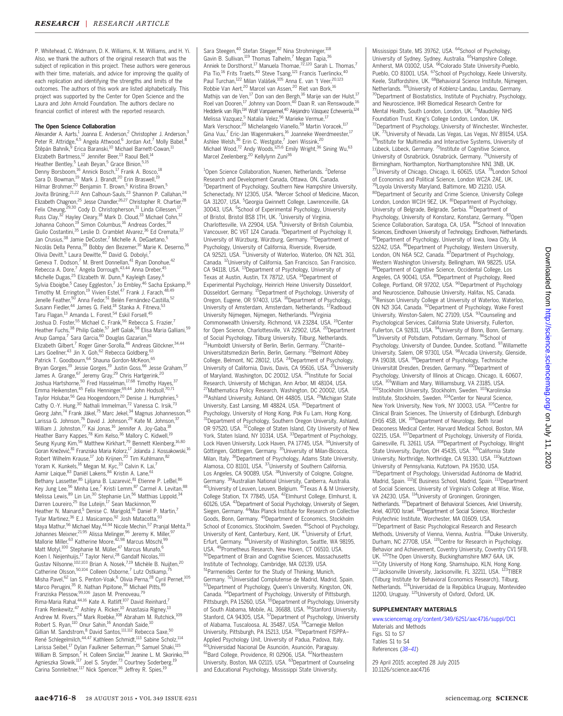P. Whitehead, C. Widmann, D. K. Williams, K. M. Williams, and H. Yi. Also, we thank the authors of the original research that was the subject of replication in this project. These authors were generous with their time, materials, and advice for improving the quality of each replication and identifying the strengths and limits of the outcomes. The authors of this work are listed alphabetically. This project was supported by the Center for Open Science and the Laura and John Arnold Foundation. The authors declare no financial conflict of interest with the reported research.

#### The Open Science Collaboration

Alexander A. Aarts,<sup>1</sup> Joanna E. Anderson,<sup>2</sup> Christopher J. Anderson,<sup>3</sup> Peter R. Attridge, 4,5 Angela Attwood,<sup>6</sup> Jordan Axt,<sup>7</sup> Molly Babel, <sup>8</sup> štěpán Bahník,<sup>9</sup> Erica Baranski,<sup>10</sup> Michael Barnett-Cowan,<sup>11</sup> Elizabeth Bartmess,<sup>12</sup> Jennifer Beer,<sup>13</sup> Raoul Bell,<sup>1</sup> Heather Bentley,<sup>5</sup> Leah Beyan,<sup>5</sup> Grace Binion,<sup>5</sup> Denny Borsboom,<sup>16</sup> Annick Bosch,<sup>17</sup> Frank A. Bosco,<sup>18</sup><br>Sara D. Bowman,<sup>19</sup> Mark J. Brandt,<sup>20</sup> Erin Braswell,<sup>19</sup> Hilmar Brohmer,<sup>20</sup> Benjamin T. Brown,<sup>5</sup> Kristina Brown,<sup>5</sup> Jovita Brüning,<sup>21,22</sup> Ann Calhoun-Sauls,<sup>23</sup> Shannon P. Callahan,<sup>24</sup> Elizabeth Chagnon,<sup>25</sup> Jesse Chandler,<sup>26,27</sup> Christopher R. Chartier,<sup>28</sup><br>Felix Cheung,<sup>29,30</sup> Cody D. Christopherson,<sup>31</sup> Linda Cillessen,<sup>17</sup> Russ Clay,<sup>32</sup> Hayley Cleary,<sup>18</sup> Mark D. Cloud,<sup>33</sup> Michael Cohn,<sup>12</sup> Johanna Cohoon,<sup>19</sup> Simon Columbus,<sup>16</sup> Andreas Cordes,<sup>34</sup> Giulio Costantini, 35 Leslie D. Cramblet Alvarez, 36 Ed Cremata, 37 Jan Crusius,<sup>38</sup> Jamie DeCoster,<sup>7</sup> Michelle A. DeGaetano,<sup>5</sup> Nicolás Della Penna,<sup>39</sup> Bobby den Bezemer,<sup>16</sup> Marie K. Deserno,<sup>16</sup> Olivia Devitt,<sup>5</sup> Laura Dewitte,<sup>40</sup> David G. Dobolyi,<sup>7</sup> Geneva T. Dodson,<sup>7</sup> M. Brent Donnellan,<sup>41</sup> Ryan Donohue,<sup>42</sup><br>Rebecca A. Dore,<sup>7</sup> Angela Dorrough,<sup>43,44</sup> Anna Dreber,<sup>45</sup> Michelle Dugas, <sup>25</sup> Elizabeth W. Dunn, <sup>8</sup> Kayleigh Easey,<sup>6</sup> Sylvia Eboigbe,<sup>5</sup> Casey Eggleston,<sup>7</sup> Jo Embley,<sup>46</sup> Sacha Epskamp,<sup>16</sup> Timothy M. Errington,<sup>19</sup> Vivien Estel,<sup>47</sup> Frank J. Farach,<sup>48,49</sup><br>Jenelle Feather,<sup>50</sup> Anna Fedor,<sup>51</sup> Belén Fernández-Castilla,<sup>52</sup> Susann Fiedler,<sup>44</sup> James G. Field,<sup>18</sup> Stanka A. Fitneva,<sup>53</sup> Taru Flagan,<sup>13</sup> Amanda L. Forest,<sup>54</sup> Eskil Forsell,<sup>45</sup> Joshua D. Foster,<sup>55</sup> Michael C. Frank,<sup>56</sup> Rebecca S. Frazier,7 Heather Fuchs,<sup>38</sup> Philip Gable,<sup>57</sup> Jeff Galak,<sup>58</sup> Elisa Maria Galliani,<sup>59</sup> Anup Gampa,<sup>7</sup> Sara Garcia,<sup>60</sup> Douglas Gazarian,<sup>61</sup> Elizabeth Gilbert,<sup>7</sup> Roger Giner-Sorolla,<sup>46</sup> Andreas Glöckner,<sup>34,44</sup><br>Lars Goellner,<sup>43</sup> Jin X. Goh,<sup>62</sup> Rebecca Goldberg,<sup>63</sup> Patrick T. Goodbourn, <sup>64</sup> Shauna Gordon-McKeon, <sup>65</sup> Bryan Gorges,<sup>19</sup> Jessie Gorges,<sup>19</sup> Justin Goss,<sup>66</sup> Jesse Graham,<sup>37</sup> James A. Grange, <sup>67</sup> Jeremy Gray, <sup>29</sup> Chris Hartgerink, <sup>20</sup> Joshua Hartshorne,<sup>50</sup> Fred Hasselman,<sup>17,68</sup> Timothy Hayes,<sup>37</sup> Emma Heikensten,<sup>45</sup> Felix Henninger,<sup>69,44</sup> John Hodsoll,<sup>70,71</sup> Taylor Holubar,<sup>56</sup> Gea Hoogendoorn,<sup>20</sup> Denise J. Humphries,<sup>5</sup> Cathy O.-Y. Hung,<sup>30</sup> Nathali Immelman,<sup>72</sup> Vanessa C. Irsik,<sup>73</sup> Georg Jahn,74 Frank Jäkel,75 Marc Jekel,34 Magnus Johannesson,45 Larissa G. Johnson,<sup>76</sup> David J. Johnson,<sup>29</sup> Kate M. Johnson,<sup>37</sup><br>William J. Johnston,<sup>77</sup> Kai Jonas,<sup>16</sup> Jennifer A. Joy-Gaba,<sup>18</sup> Heather Barry Kappes,<sup>78</sup> Kim Kelso,<sup>36</sup> Mallory C. Kidwell,<sup>19</sup><br>Seung Kyung Kim,<sup>56</sup> Matthew Kirkhart,<sup>79</sup> Bennett Kleinberg,<sup>16,80</sup> Goran Knežević, <sup>81</sup> Franziska Maria Kolorz, <sup>17</sup> Jolanda J. Kossakowski, <sup>16</sup> Robert Wilhelm Krause,<sup>17</sup> Job Krijnen,<sup>20</sup> Tim Kuhlmann, 82 Yoram K. Kunkels,<sup>16</sup> Megan M. Kyc,<sup>33</sup> Calvin K. Lai,<sup>7</sup> Aamir Laique, <sup>83</sup> Daniël Lakens, <sup>84</sup> Kristin A. Lane, <sup>61</sup> Bethany Lassetter, <sup>85</sup> Ljiljana B. Lazarević, <sup>81</sup> Etienne P. LeBel, <sup>86</sup> Key Jung Lee,<sup>56</sup> Minha Lee,<sup>7</sup> Kristi Lemm,<sup>87</sup> Carmel A. Levitan,<sup>88</sup><br>Melissa Lewis,<sup>89</sup> Lin Lin,<sup>30</sup> Stephanie Lin,<sup>56</sup> Matthias Lippold,<sup>34</sup> Darren Loureiro,<sup>25</sup> Ilse Luteijn,<sup>17</sup> Sean Mackinnon, 90 Heather N. Mainard,<sup>5</sup> Denise C. Marigold,<sup>91</sup> Daniel P. Martin,<sup>7</sup> Tylar Martinez,<sup>36</sup> E.J. Masicampo,<sup>92</sup> Josh Matacotta,<sup>93</sup><br>Maya Mathur,<sup>56</sup> Michael May,<sup>44,94</sup> Nicole Mechin,<sup>57</sup> Pranjal Mehta,<sup>15</sup> Johannes Meixner,<sup>21,95</sup> Alissa Melinger,<sup>96</sup> Jeremy K. Miller,<sup>97</sup><br>Mallorie Miller,<sup>63</sup> Katherine Moore,<sup>42,98</sup> Marcus Möschl,<sup>99</sup><br>Matt Motyl,<sup>100</sup> Stephanie M. Müller,<sup>47</sup> Marcus Munafo,<sup>6</sup> Koen I. Neijenhuijs,<sup>17</sup> Taylor Nervi,<sup>28</sup> Gandalf Nicolas,<sup>101</sup> Gustav Nilsonne,<sup>102,103</sup> Brian A. Nosek,<sup>7,19</sup> Michèle B. Nuijten,<sup>20</sup> Catherine Olsson,<sup>50,104</sup> Colleen Osborne,<sup>7</sup> Lutz Ostkamp,<sup>7</sup> Misha Pavel, <sup>62</sup> Ian S. Penton-Voak, <sup>6</sup> Olivia Perna, <sup>28</sup> Cyril Pernet, <sup>105</sup> Marco Perugini,<sup>35</sup> R. Nathan Pipitone,<sup>36</sup> Michael Pitts, 89 Franziska Plessow,99,106 Jason M. Prenoveau,<sup>79</sup> Rima-Maria Rahal,<sup>44,16</sup> Kate A. Ratliff,<sup>107</sup> David Reinhard,<sup>7</sup><br>Frank Renkewitz,<sup>47</sup> Ashley A. Ricker,<sup>10</sup> Anastasia Rigney,<sup>13</sup> Andrew M. Rivers, <sup>24</sup> Mark Roebke,<sup>108</sup> Abraham M. Rutchick,<sup>109</sup> Robert S. Ryan,<sup>110</sup> Onur Sahin,<sup>16</sup> Anondah Saide,<sup>10</sup> Gillian M. Sandstrom,<sup>8</sup> David Santos,<sup>111,112</sup> Rebecca Saxe,<sup>50</sup><br>René Schlegelmilch,<sup>44,47</sup> Kathleen Schmidt,<sup>113</sup> Sabine Scholz,<sup>114</sup> Larissa Seibel,<sup>17</sup> Dylan Faulkner Selterman,<sup>25</sup> Samuel Shaki,<sup>115</sup> William B. Simpson,<sup>7</sup> H. Colleen Sinclair,<sup>63</sup> Jeanine L. M. Skorinko,<sup>116</sup><br>Agnieszka Slowik,<sup>117</sup> Joel S. Snyder,<sup>73</sup> Courtney Soderberg,<sup>19</sup> Carina Sonnleitner,<sup>117</sup> Nick Spencer,<sup>36</sup> Jeffrey R. Spies,<sup>19</sup>

Sara Steegen,<sup>40</sup> Stefan Stieger, 82 Nina Strohminger, 118 Gavin B. Sullivan,<sup>119</sup> Thomas Talhelm,<sup>7</sup> Megan Tapia.<sup>36</sup> Anniek te Dorsthorst,<sup>17</sup> Manuela Thomae,<sup>72,120</sup> Sarah L. Thomas,<sup>7</sup> Pia Tio,<sup>16</sup> Frits Traets,<sup>40</sup> Steve Tsang,<sup>121</sup> Francis Tuerlinckx,<sup>40</sup> Paul Turchan,<sup>122</sup> Milan Valášek,<sup>105</sup> Anna E. van 't Veer,<sup>20,123</sup> Robbie Van Aert,<sup>20</sup> Marcel van Assen,<sup>20</sup> Riet van Bork,<sup>16</sup> Mathijs van de Ven,<sup>17</sup> Don van den Bergh,<sup>16</sup> Marije van der Hulst,<sup>17</sup><br>Roel van Dooren,<sup>17</sup> Johnny van Doorn,<sup>40</sup> Daan R. van Renswoude,<sup>16</sup> Hedderik van Rijn,<sup>114</sup> Wolf Vanpaemel,<sup>40</sup> Alejandro Vásquez Echeverría,<sup>124</sup><br>Melissa Vazquez,<sup>5</sup> Natalia Velez,<sup>56</sup> Marieke Vermue,<sup>17</sup> Mark Verschoor,<sup>20</sup> Michelangelo Vianello,<sup>59</sup> Martin Voracek,<sup>117</sup> Gina Vuu,<sup>7</sup> Eric-Jan Wagenmakers,<sup>16</sup> Joanneke Weerdmeester,<sup>17</sup> Ashlee Welsh,<sup>36</sup> Erin C. Westgate,<sup>7</sup> Joeri Wissink,<sup>20</sup> Michael Wood,<sup>72</sup> Andy Woods,<sup>125,6</sup> Emily Wright,<sup>36</sup> Sining Wu,<sup>63</sup> Marcel Zeelenberg,<sup>20</sup> Kellylynn Zuni<sup>36</sup>

<sup>1</sup>Open Science Collaboration, Nuenen, Netherlands. <sup>2</sup>Defense Research and Development Canada, Ottawa, ON, Canada. <sup>3</sup>Department of Psychology, Southern New Hampshire University, Schenectady, NY 12305, USA. <sup>4</sup>Mercer School of Medicine, Macon, GA 31207, USA. <sup>5</sup>Georgia Gwinnett College, Lawrenceville, GA 30043, USA. <sup>6</sup>School of Experimental Psychology, University of Bristol, Bristol BS8 1TH, UK. <sup>7</sup>University of Virginia, Charlottesville, VA 22904, USA. <sup>8</sup>University of British Columbia, Vancouver, BC V6T 1Z4 Canada. <sup>9</sup>Department of Psychology II, University of Würzburg, Würzburg, Germany. 10Department of Psychology, University of California, Riverside, Riverside, CA 92521, USA. <sup>11</sup>University of Waterloo, Waterloo, ON N2L 3G1, Canada. 12University of California, San Francisco, San Francisico, CA 94118, USA. 13Department of Psychology, University of Texas at Austin, Austin, TX 78712, USA. 14Department of Experimental Psychology, Heinrich Heine University Düsseldorf, Düsseldorf, Germany. <sup>15</sup>Department of Psychology, University of<br>Oregon, Eugene, OR 97403, USA. <sup>16</sup>Department of Psychology, University of Amsterdam, Amsterdam, Netherlands. <sup>17</sup>Radboud University Nijmegen, Nijmegen, Netherlands. 18Virginia Commonwealth University, Richmond, VA 23284, USA. 19Center for Open Science, Charlottesville, VA 22902, USA. 20Department of Social Psychology, Tilburg University, Tilburg, Netherlands. <sup>21</sup>Humboldt University of Berlin, Berlin, Germany. <sup>22</sup>Charité-Universitätsmedizin Berlin, Berlin, Germany. <sup>23</sup>Belmont Abbey College, Belmont, NC 28012, USA. 24Department of Psychology, University of California, Davis, Davis, CA 95616, USA. <sup>25</sup>University of Maryland, Washington, DC 20012, USA. <sup>26</sup>Institute for Social Research, University of Michigan, Ann Arbor, MI 48104, USA. 27Mathematica Policy Research, Washington, DC 20002, USA. 28Ashland University, Ashland, OH 44805, USA. 29Michigan State University, East Lansing, MI 48824, USA. <sup>30</sup>Department of Psychology, University of Hong Kong, Pok Fu Lam, Hong Kong. <sup>1</sup>Department of Psychology, Southern Oregon University, Ashland, OR 97520, USA. 32College of Staten Island, City University of New York, Staten Island, NY 10314, USA. <sup>33</sup>Department of Psychology, Lock Haven University, Lock Haven, PA 17745, USA. <sup>34</sup>University of Göttingen, Göttingen, Germany. 35University of Milan-Bicocca, Milan, Italy. 36Department of Psychology, Adams State University, Alamosa, CO 81101, USA. 37University of Southern California, Los Angeles, CA 90089, USA. 38University of Cologne, Cologne, Germany. <sup>39</sup>Australian National University, Canberra, Australia.<br><sup>40</sup>University of Leuven, Leuven, Belgium. <sup>41</sup>Texas A & M University, College Station, TX 77845, USA. 42Elmhurst College, Elmhurst, IL 60126, USA. 43Department of Social Psychology, University of Siegen, Siegen, Germany. 44Max Planck Institute for Research on Collective Goods, Bonn, Germany. 45Department of Economics, Stockholm School of Economics, Stockholm, Sweden. <sup>46</sup>School of Psychology,<br>University of Kent, Canterbury, Kent, UK. <sup>47</sup>University of Erfurt, Erfurt, Germany. 48University of Washington, Seattle, WA 98195, USA. 49Prometheus Research, New Haven, CT 06510, USA. 50Department of Brain and Cognitive Sciences, Massachusetts Institute of Technology, Cambridge, MA 02139, USA. 51Parmenides Center for the Study of Thinking, Munich, Germany. 52Universidad Complutense de Madrid, Madrid, Spain. 53Department of Psychology, Queen's University, Kingston, ON, Canada. 54Department of Psychology, University of Pittsburgh, Pittsburgh, PA 15260, USA. <sup>55</sup>Department of Psychology, University<br>of South Alabama, Mobile, AL 36688, USA. <sup>56</sup>Stanford University, Stanford, CA 94305, USA. <sup>57</sup>Department of Psychology, University<br>of Alabama, Tuscaloosa, AL 35487, USA. <sup>58</sup>Carnegie Mellon University, Pittsburgh, PA 15213, USA. 59Department FISPPA– Applied Psychology Unit, University of Padua, Padova, Italy. 60Universidad Nacional De Asunción, Asunción, Paraguay. <sup>61</sup>Bard College, Providence, RI 02906, USA. <sup>62</sup>Northeastern University, Boston, MA 02115, USA. <sup>63</sup>Department of Counseling and Educational Psychology, Mississippi State University,

Mississippi State, MS 39762, USA. <sup>64</sup>School of Psychology, University of Sydney, Sydney, Australia. <sup>65</sup>Hampshire College,<br>Amherst, MA 01002, USA. <sup>66</sup>Colorado State University-Pueblo, Purificist, who decade, contract club club charactery received to Psychology, Keele University, Keele, Staffordshire, UK. <sup>68</sup>Behavioral Science Institute, Nijmegen, ........<br>Netherlands. <sup>69</sup>University of Koblenz-Landau, Landau, Germany. <sup>0</sup>Department of Biostatistics, Institute of Psychiatry, Psychology, and Neuroscience, IHR Biomedical Research Centre for Mental Health, South London, London, UK. 71Maudsley NHS Foundation Trust, King's College London, London, UK. 72Department of Psychology, University of Winchester, Winchester, UK.<sup>73</sup>University of Nevada, Las Vegas, Las Vegas, NV 89154, USA. <sup>74</sup>Institute for Multimedia and Interactive Systems, University of Lübeck, Lübeck, Germany. <sup>75</sup>Institute of Cognitive Science, University of Osnabrück, Osnabrück, Germany. 76University of Birmingham, Northampton, Northamptonshire NN1 3NB, UK. <sup>77</sup>University of Chicago, Chicago, IL 60615, USA. <sup>78</sup>London School of Economics and Political Science, London WC2A 2AE, UK. <sup>9</sup>Lovola University Maryland, Baltimore, MD 21210, USA. 80Department of Security and Crime Science, University College London, London WC1H 9EZ, UK. <sup>81</sup>Department of Psychology, University of Belgrade, Belgrade, Serbia. 82Department of Psychology, University of Konstanz, Konstanz, Germany. 83Open Science Collaboration, Saratoga, CA, USA. 84School of Innovation Sciences, Eindhoven University of Technology, Eindhoven, Netherlands. <sup>85</sup>Department of Psychology, University of Iowa, Iowa City, IA 52242, USA. 86Department of Psychology, Western University, London, ON N6A 5C2, Canada. 87Department of Psychology, Western Washington University, Bellingham, WA 98225, USA. 88Department of Cognitive Science, Occidental College, Los Angeles, CA 90041, USA. <sup>89</sup>Department of Psychology, Reed College, Portland, OR 97202, USA. 90Department of Psychology and Neuroscience, Dalhousie University, Halifax, NS, Canada. 91Renison University College at University of Waterloo, Waterloo, ON N2l 3G4, Canada. 92Department of Psychology, Wake Forest University, Winston-Salem, NC 27109, USA. 93Counseling and Psychological Services, California State University, Fullerton, Fullerton, CA 92831, USA. 94University of Bonn, Bonn, Germany. <sup>95</sup>University of Potsdam, Potsdam, Germany. <sup>96</sup>School of Psychology, University of Dundee, Dundee, Scotland. <sup>97</sup>Willamette University, Salem, OR 97301, USA. 98 Arcadia University, Glenside, PA 19038, USA. <sup>99</sup>Department of Psychology, Technische Universität Dresden, Dresden, Germany. <sup>100</sup>Department of Psychology, University of Illinois at Chicago, Chicago, IL 60607, USA. <sup>101</sup>William and Mary, Williamsburg, VA 23185, USA. 102Stockholm University, Stockholm, Sweden. <sup>103</sup>Karolinska Institute, Stockholm, Sweden. 104Center for Neural Science, New York University, New York, NY 10003, USA. <sup>105</sup>Centre for Clinical Brain Sciences, The University of Edinburgh, Edinburgh EH16 4SB, UK. <sup>106</sup>Department of Neurology, Beth Israel Deaconess Medical Center, Harvard Medical School, Boston, MA 02215, USA. <sup>107</sup>Department of Psychology, University of Florida,<br>Gainesville, FL 32611, USA. <sup>108</sup>Department of Psychology, Wright State University, Dayton, OH 45435, USA. <sup>109</sup>California State University, Northridge, Northridge, CA 91330, USA. 110Kutztown University of Pennsylvania, Kutztown, PA 19530, USA. 111Department of Psychology, Universidad Autónoma de Madrid, Madrid, Spain. <sup>112</sup>IE Business School, Madrid, Spain. <sup>113</sup>Department of Social Sciences, University of Virginia's College at Wise, Wise,<br>VA 24230, USA. <sup>114</sup>University of Groningen, Groningen, Netherlands. 115Department of Behavioral Sciences, Ariel University, Ariel, 40700 Israel. <sup>116</sup>Department of Social Science, Worchester Polytechnic Institute, Worchester, MA 01609, USA. <sup>117</sup>Department of Basic Psychological Research and Research Methods, University of Vienna, Vienna, Austria. <sup>118</sup>Duke University, Durham, NC 27708, USA. 119Centre for Research in Psychology, Behavior and Achievement, Coventry University, Coventry CV1 5FB, UK. 120The Open University, Buckinghamshire MK7 6AA, UK. <sup>21</sup>City University of Hong Kong, Shamshuipo, KLN, Hong Kong. 122 Jacksonville University, Jacksonville, FL 32211, USA. <sup>123</sup>TIBER (Tilburg Institute for Behavioral Economics Research), Tilburg, Netherlands. <sup>124</sup>Universidad de la República Uruguay, Montevideo 11200, Uruguay. 125University of Oxford, Oxford, UK.

#### SUPPLEMENTARY MATERIALS

[www.sciencemag.org/content/349/6251/aac4716/suppl/DC1](http://www.sciencemag.org/content/349/6251/aac4716/suppl/DC1) Materials and Methods Figs. S1 to S7 Tables S1 to S4 References (38–41)

29 April 2015; accepted 28 July 2015 10.1126/science.aac4716

Downloaded from http://science.sciencemag.org/ on July 11, 2020 Downloaded from <http://science.sciencemag.org/> on July 11, 2020